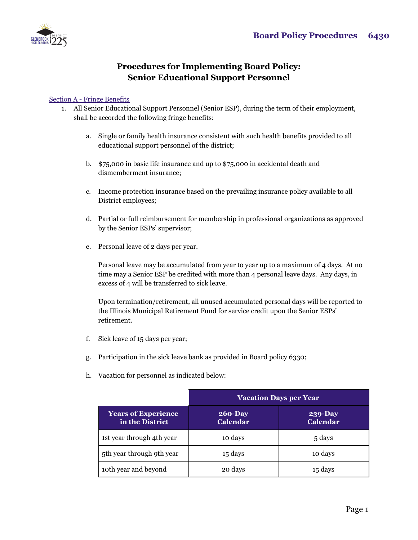

## **Procedures for Implementing Board Policy: Senior Educational Support Personnel**

## Section A - Fringe Benefits

- 1. All Senior Educational Support Personnel (Senior ESP), during the term of their employment, shall be accorded the following fringe benefits:
	- a. Single or family health insurance consistent with such health benefits provided to all educational support personnel of the district;
	- b. \$75,000 in basic life insurance and up to \$75,000 in accidental death and dismemberment insurance;
	- c. Income protection insurance based on the prevailing insurance policy available to all District employees;
	- d. Partial or full reimbursement for membership in professional organizations as approved by the Senior ESPs' supervisor;
	- e. Personal leave of 2 days per year.

Personal leave may be accumulated from year to year up to a maximum of 4 days. At no time may a Senior ESP be credited with more than 4 personal leave days. Any days, in excess of 4 will be transferred to sick leave.

Upon termination/retirement, all unused accumulated personal days will be reported to the Illinois Municipal Retirement Fund for service credit upon the Senior ESPs' retirement.

- f. Sick leave of 15 days per year;
- g. Participation in the sick leave bank as provided in Board policy 6330;
- h. Vacation for personnel as indicated below:

|                                               | <b>Vacation Days per Year</b>  |                                   |
|-----------------------------------------------|--------------------------------|-----------------------------------|
| <b>Years of Experience</b><br>in the District | $260 - Day$<br><b>Calendar</b> | <b>239-Day</b><br><b>Calendar</b> |
| 1st year through 4th year                     | 10 days                        | 5 days                            |
| 5th year through 9th year                     | 15 days                        | 10 days                           |
| 10th year and beyond                          | 20 days                        | 15 days                           |